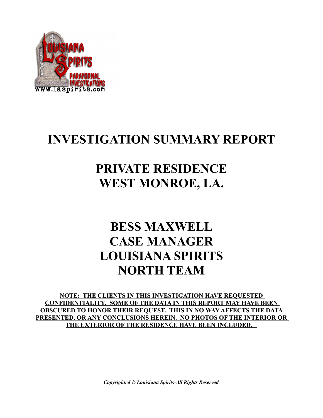

## **INVESTIGATION SUMMARY REPORT**

## **PRIVATE RESIDENCE WEST MONROE, LA.**

## **BESS MAXWELL CASE MANAGER LOUISIANA SPIRITS NORTH TEAM**

**NOTE: THE CLIENTS IN THIS INVESTIGATION HAVE REQUESTED CONFIDENTIALITY. SOME OF THE DATA IN THIS REPORT MAY HAVE BEEN OBSCURED TO HONOR THEIR REQUEST. THIS IN NO WAY AFFECTS THE DATA PRESENTED, OR ANY CONCLUSIONS HEREIN. NO PHOTOS OF THE INTERIOR OR THE EXTERIOR OF THE RESIDENCE HAVE BEEN INCLUDED.** 

*Copyrighted © Louisiana Spirits-All Rights Reserved*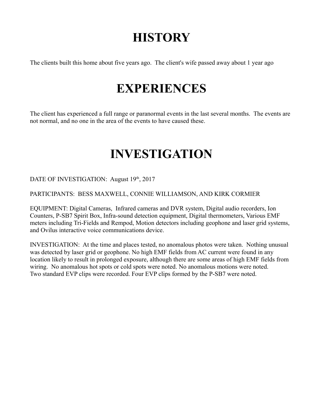# **HISTORY**

The clients built this home about five years ago. The client's wife passed away about 1 year ago

## **EXPERIENCES**

The client has experienced a full range or paranormal events in the last several months. The events are not normal, and no one in the area of the events to have caused these.

## **INVESTIGATION**

DATE OF INVESTIGATION: August 19th, 2017

PARTICIPANTS: BESS MAXWELL, CONNIE WILLIAMSON, AND KIRK CORMIER

EQUIPMENT: Digital Cameras, Infrared cameras and DVR system, Digital audio recorders, Ion Counters, P-SB7 Spirit Box, Infra-sound detection equipment, Digital thermometers, Various EMF meters including Tri-Fields and Rempod, Motion detectors including geophone and laser grid systems, and Ovilus interactive voice communications device.

INVESTIGATION: At the time and places tested, no anomalous photos were taken. Nothing unusual was detected by laser grid or geophone. No high EMF fields from AC current were found in any location likely to result in prolonged exposure, although there are some areas of high EMF fields from wiring. No anomalous hot spots or cold spots were noted. No anomalous motions were noted. Two standard EVP clips were recorded. Four EVP clips formed by the P-SB7 were noted.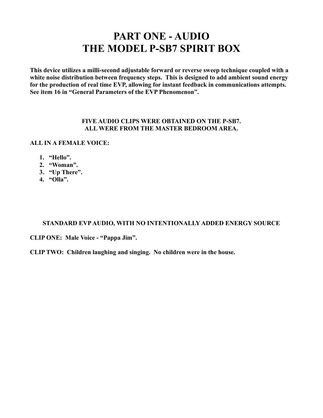### **PART ONE - AUDIO THE MODEL P-SB7 SPIRIT BOX**

**This device utilizes a milli-second adjustable forward or reverse sweep technique coupled with a white noise distribution between frequency steps. This is designed to add ambient sound energy for the production of real time EVP, allowing for instant feedback in communications attempts. See item 16 in "General Parameters of the EVP Phenomenon".** 

### **FIVE AUDIO CLIPS WERE OBTAINED ON THE P-SB7. ALL WERE FROM THE MASTER BEDROOM AREA.**

### **ALL IN A FEMALE VOICE:**

- **1. "Hello".**
- **2. "Woman".**
- **3. "Up There".**
- **4. "Olla".**

### **STANDARD EVP AUDIO, WITH NO INTENTIONALLY ADDED ENERGY SOURCE**

### **CLIP ONE: Male Voice - "Pappa Jim".**

**CLIP TWO: Children laughing and singing. No children were in the house.**